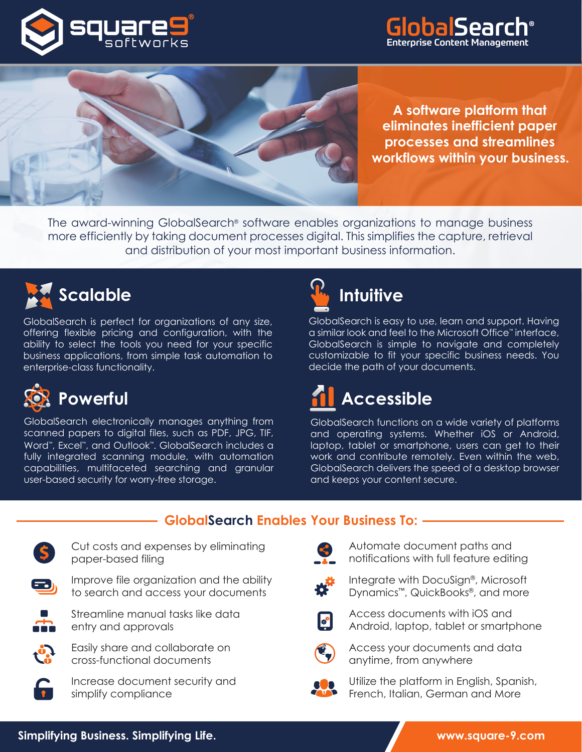





**A software platform that eliminates inefficient paper processes and streamlines workflows within your business.**

The award-winning GlobalSearch® software enables organizations to manage business more efficiently by taking document processes digital. This simplifies the capture, retrieval and distribution of your most important business information.



GlobalSearch is perfect for organizations of any size, offering flexible pricing and configuration, with the ability to select the tools you need for your specific business applications, from simple task automation to enterprise-class functionality.



GlobalSearch electronically manages anything from scanned papers to digital files, such as PDF, JPG, TIF, Word™ , Excel™, and Outlook™ . GlobalSearch includes a fully integrated scanning module, with automation capabilities, multifaceted searching and granular user-based security for worry-free storage.



GlobalSearch is easy to use, learn and support. Having a similar look and feel to the Microsoft Office™ interface, GlobalSearch is simple to navigate and completely customizable to fit your specific business needs. You decide the path of your documents.

# **Accessible**

GlobalSearch functions on a wide variety of platforms and operating systems. Whether iOS or Android, laptop, tablet or smartphone, users can get to their work and contribute remotely. Even within the web, GlobalSearch delivers the speed of a desktop browser and keeps your content secure.

### **GlobalSearch Enables Your Business To:**



Cut costs and expenses by eliminating paper-based filing



Improve file organization and the ability to search and access your documents



Streamline manual tasks like data entry and approvals



Easily share and collaborate on cross-functional documents



Increase document security and simplify compliance



Automate document paths and notifications with full feature editing



Integrate with DocuSign®, Microsoft Dynamics™, QuickBooks®, and more



Access documents with iOS and Android, laptop, tablet or smartphone



Access your documents and data anytime, from anywhere



Utilize the platform in English, Spanish, French, Italian, German and More